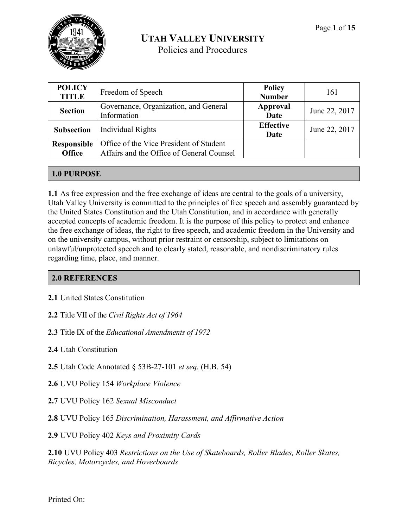| <b>POLICY</b><br><b>TITLE</b> | Freedom of Speech                                                                    | <b>Policy</b><br><b>Number</b> | 161           |
|-------------------------------|--------------------------------------------------------------------------------------|--------------------------------|---------------|
| <b>Section</b>                | Governance, Organization, and General<br>Information                                 | Approval<br>Date               | June 22, 2017 |
| <b>Subsection</b>             | <b>Individual Rights</b>                                                             | <b>Effective</b><br>Date       | June 22, 2017 |
| Responsible<br><b>Office</b>  | Office of the Vice President of Student<br>Affairs and the Office of General Counsel |                                |               |

# **1.0 PURPOSE**

**1.1** As free expression and the free exchange of ideas are central to the goals of a university, Utah Valley University is committed to the principles of free speech and assembly guaranteed by the United States Constitution and the Utah Constitution, and in accordance with generally accepted concepts of academic freedom. It is the purpose of this policy to protect and enhance the free exchange of ideas, the right to free speech, and academic freedom in the University and on the university campus, without prior restraint or censorship, subject to limitations on unlawful/unprotected speech and to clearly stated, reasonable, and nondiscriminatory rules regarding time, place, and manner.

# **2.0 REFERENCES**

- **2.1** United States Constitution
- **2.2** Title VII of the *Civil Rights Act of 1964*
- **2.3** Title IX of the *Educational Amendments of 1972*
- **2.4** Utah Constitution
- **2.5** Utah Code Annotated § 53B-27-101 *et seq.* (H.B. 54)
- **2.6** UVU Policy 154 *Workplace Violence*
- **2.7** UVU Policy 162 *Sexual Misconduct*
- **2.8** UVU Policy 165 *Discrimination, Harassment, and Affirmative Action*

**2.9** UVU Policy 402 *Keys and Proximity Cards*

**2.10** UVU Policy 403 *Restrictions on the Use of Skateboards, Roller Blades, Roller Skates, Bicycles, Motorcycles, and Hoverboards*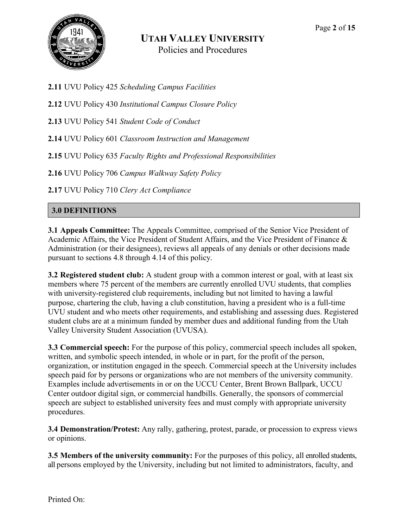

- **2.11** UVU Policy 425 *Scheduling Campus Facilities*
- **2.12** UVU Policy 430 *Institutional Campus Closure Policy*
- **2.13** UVU Policy 541 *Student Code of Conduct*
- **2.14** UVU Policy 601 *Classroom Instruction and Management*
- **2.15** UVU Policy 635 *Faculty Rights and Professional Responsibilities*
- **2.16** UVU Policy 706 *Campus Walkway Safety Policy*
- **2.17** UVU Policy 710 *Clery Act Compliance*

# **3.0 DEFINITIONS**

**3.1 Appeals Committee:** The Appeals Committee, comprised of the Senior Vice President of Academic Affairs, the Vice President of Student Affairs, and the Vice President of Finance & Administration (or their designees), reviews all appeals of any denials or other decisions made pursuant to sections 4.8 through 4.14 of this policy.

**3.2 Registered student club:** A student group with a common interest or goal, with at least six members where 75 percent of the members are currently enrolled UVU students, that complies with university-registered club requirements, including but not limited to having a lawful purpose, chartering the club, having a club constitution, having a president who is a full-time UVU student and who meets other requirements, and establishing and assessing dues. Registered student clubs are at a minimum funded by member dues and additional funding from the Utah Valley University Student Association (UVUSA).

**3.3 Commercial speech:** For the purpose of this policy, commercial speech includes all spoken, written, and symbolic speech intended, in whole or in part, for the profit of the person, organization, or institution engaged in the speech. Commercial speech at the University includes speech paid for by persons or organizations who are not members of the university community. Examples include advertisements in or on the UCCU Center, Brent Brown Ballpark, UCCU Center outdoor digital sign, or commercial handbills. Generally, the sponsors of commercial speech are subject to established university fees and must comply with appropriate university procedures.

**3.4 Demonstration/Protest:** Any rally, gathering, protest, parade, or procession to express views or opinions.

**3.5 Members of the university community:** For the purposes of this policy, all enrolled students, all persons employed by the University, including but not limited to administrators, faculty, and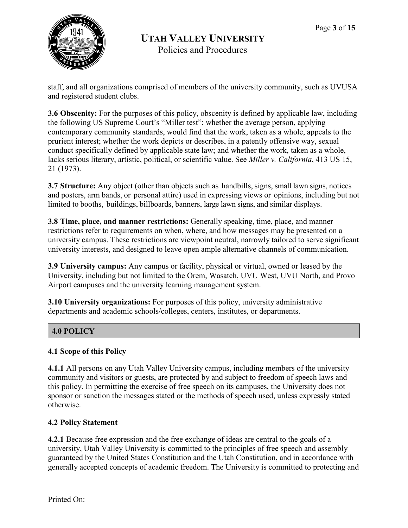

staff, and all organizations comprised of members of the university community, such as UVUSA and registered student clubs.

**3.6 Obscenity:** For the purposes of this policy, obscenity is defined by applicable law, including the following US Supreme Court's "Miller test": whether the average person, applying contemporary community standards, would find that the work, taken as a whole, appeals to the prurient interest; whether the work depicts or describes, in a patently offensive way, sexual conduct specifically defined by applicable state law; and whether the work, taken as a whole, lacks serious literary, artistic, political, or scientific value. See *Miller v. California*, 413 US 15, 21 (1973).

**3.7 Structure:** Any object (other than objects such as handbills, signs, small lawn signs, notices and posters, arm bands, or personal attire) used in expressing views or opinions, including but not limited to booths, buildings, billboards, banners, large lawn signs, and similar displays.

**3.8 Time, place, and manner restrictions:** Generally speaking, time, place, and manner restrictions refer to requirements on when, where, and how messages may be presented on a university campus. These restrictions are viewpoint neutral, narrowly tailored to serve significant university interests, and designed to leave open ample alternative channels of communication.

**3.9 University campus:** Any campus or facility, physical or virtual, owned or leased by the University, including but not limited to the Orem, Wasatch, UVU West, UVU North, and Provo Airport campuses and the university learning management system.

**3.10 University organizations:** For purposes of this policy, university administrative departments and academic schools/colleges, centers, institutes, or departments.

# **4.0 POLICY**

# **4.1 Scope of this Policy**

**4.1.1** All persons on any Utah Valley University campus, including members of the university community and visitors or guests, are protected by and subject to freedom of speech laws and this policy. In permitting the exercise of free speech on its campuses, the University does not sponsor or sanction the messages stated or the methods of speech used, unless expressly stated otherwise.

#### **4.2 Policy Statement**

**4.2.1** Because free expression and the free exchange of ideas are central to the goals of a university, Utah Valley University is committed to the principles of free speech and assembly guaranteed by the United States Constitution and the Utah Constitution, and in accordance with generally accepted concepts of academic freedom. The University is committed to protecting and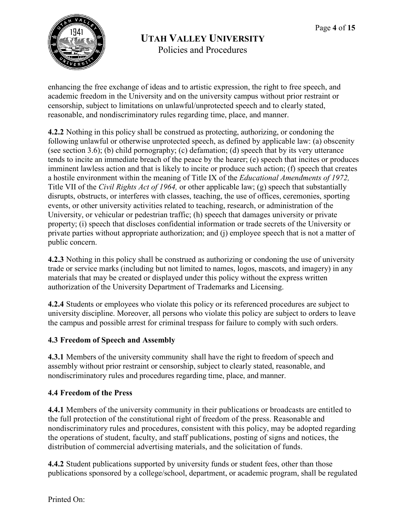

enhancing the free exchange of ideas and to artistic expression, the right to free speech, and academic freedom in the University and on the university campus without prior restraint or censorship, subject to limitations on unlawful/unprotected speech and to clearly stated, reasonable, and nondiscriminatory rules regarding time, place, and manner.

**4.2.2** Nothing in this policy shall be construed as protecting, authorizing, or condoning the following unlawful or otherwise unprotected speech, as defined by applicable law: (a) obscenity (see section 3.6); (b) child pornography; (c) defamation; (d) speech that by its very utterance tends to incite an immediate breach of the peace by the hearer; (e) speech that incites or produces imminent lawless action and that is likely to incite or produce such action; (f) speech that creates a hostile environment within the meaning of Title IX of the *Educational Amendments of 1972,*  Title VII of the *Civil Rights Act of 1964,* or other applicable law; (g) speech that substantially disrupts, obstructs, or interferes with classes, teaching, the use of offices, ceremonies, sporting events, or other university activities related to teaching, research, or administration of the University, or vehicular or pedestrian traffic; (h) speech that damages university or private property; (i) speech that discloses confidential information or trade secrets of the University or private parties without appropriate authorization; and (j) employee speech that is not a matter of public concern.

**4.2.3** Nothing in this policy shall be construed as authorizing or condoning the use of university trade or service marks (including but not limited to names, logos, mascots, and imagery) in any materials that may be created or displayed under this policy without the express written authorization of the University Department of Trademarks and Licensing.

**4.2.4** Students or employees who violate this policy or its referenced procedures are subject to university discipline. Moreover, all persons who violate this policy are subject to orders to leave the campus and possible arrest for criminal trespass for failure to comply with such orders.

# **4.3 Freedom of Speech and Assembly**

**4.3.1** Members of the university community shall have the right to freedom of speech and assembly without prior restraint or censorship, subject to clearly stated, reasonable, and nondiscriminatory rules and procedures regarding time, place, and manner.

# **4.4 Freedom of the Press**

**4.4.1** Members of the university community in their publications or broadcasts are entitled to the full protection of the constitutional right of freedom of the press. Reasonable and nondiscriminatory rules and procedures, consistent with this policy, may be adopted regarding the operations of student, faculty, and staff publications, posting of signs and notices, the distribution of commercial advertising materials, and the solicitation of funds.

**4.4.2** Student publications supported by university funds or student fees, other than those publications sponsored by a college/school, department, or academic program, shall be regulated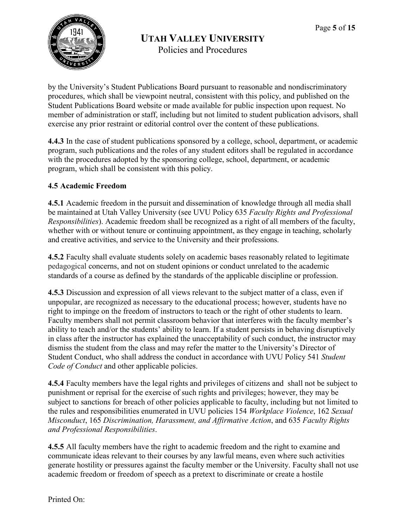

Policies and Procedures

by the University's Student Publications Board pursuant to reasonable and nondiscriminatory procedures, which shall be viewpoint neutral, consistent with this policy, and published on the Student Publications Board website or made available for public inspection upon request. No member of administration or staff, including but not limited to student publication advisors, shall exercise any prior restraint or editorial control over the content of these publications.

**4.4.3** In the case of student publications sponsored by a college, school, department, or academic program, such publications and the roles of any student editors shall be regulated in accordance with the procedures adopted by the sponsoring college, school, department, or academic program, which shall be consistent with this policy.

# **4.5 Academic Freedom**

**4.5.1** Academic freedom in the pursuit and dissemination of knowledge through all media shall be maintained at Utah Valley University (see UVU Policy 635 *Faculty Rights and Professional Responsibilities*). Academic freedom shall be recognized as a right of all members of the faculty, whether with or without tenure or continuing appointment, as they engage in teaching, scholarly and creative activities, and service to the University and their professions.

**4.5.2** Faculty shall evaluate students solely on academic bases reasonably related to legitimate pedagogical concerns, and not on student opinions or conduct unrelated to the academic standards of a course as defined by the standards of the applicable discipline or profession.

**4.5.3** Discussion and expression of all views relevant to the subject matter of a class, even if unpopular, are recognized as necessary to the educational process; however, students have no right to impinge on the freedom of instructors to teach or the right of other students to learn. Faculty members shall not permit classroom behavior that interferes with the faculty member's ability to teach and/or the students' ability to learn. If a student persists in behaving disruptively in class after the instructor has explained the unacceptability of such conduct, the instructor may dismiss the student from the class and may refer the matter to the University's Director of Student Conduct, who shall address the conduct in accordance with UVU Policy 541 *Student Code of Conduct* and other applicable policies.

**4.5.4** Faculty members have the legal rights and privileges of citizens and shall not be subject to punishment or reprisal for the exercise of such rights and privileges; however, they may be subject to sanctions for breach of other policies applicable to faculty, including but not limited to the rules and responsibilities enumerated in UVU policies 154 *Workplace Violence*, 162 *Sexual Misconduct*, 165 *Discrimination, Harassment, and Affirmative Action*, and 635 *Faculty Rights and Professional Responsibilities*.

**4.5.5** All faculty members have the right to academic freedom and the right to examine and communicate ideas relevant to their courses by any lawful means, even where such activities generate hostility or pressures against the faculty member or the University. Faculty shall not use academic freedom or freedom of speech as a pretext to discriminate or create a hostile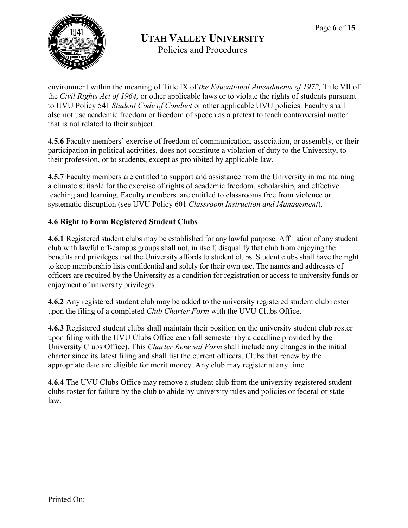

environment within the meaning of Title IX of *the Educational Amendments of 1972,* Title VII of the *Civil Rights Act of 1964,* or other applicable laws or to violate the rights of students pursuant to UVU Policy 541 *Student Code of Conduct* or other applicable UVU policies. Faculty shall also not use academic freedom or freedom of speech as a pretext to teach controversial matter that is not related to their subject.

**4.5.6** Faculty members' exercise of freedom of communication, association, or assembly, or their participation in political activities, does not constitute a violation of duty to the University, to their profession, or to students, except as prohibited by applicable law.

**4.5.7** Faculty members are entitled to support and assistance from the University in maintaining a climate suitable for the exercise of rights of academic freedom, scholarship, and effective teaching and learning. Faculty members are entitled to classrooms free from violence or systematic disruption (see UVU Policy 601 *Classroom Instruction and Management*).

# **4.6 Right to Form Registered Student Clubs**

**4.6.1** Registered student clubs may be established for any lawful purpose. Affiliation of any student club with lawful off-campus groups shall not, in itself, disqualify that club from enjoying the benefits and privileges that the University affords to student clubs. Student clubs shall have the right to keep membership lists confidential and solely for their own use. The names and addresses of officers are required by the University as a condition for registration or access to university funds or enjoyment of university privileges.

**4.6.2** Any registered student club may be added to the university registered student club roster upon the filing of a completed *Club Charter Form* with the UVU Clubs Office.

**4.6.3** Registered student clubs shall maintain their position on the university student club roster upon filing with the UVU Clubs Office each fall semester (by a deadline provided by the University Clubs Office). This *Charter Renewal Form* shall include any changes in the initial charter since its latest filing and shall list the current officers. Clubs that renew by the appropriate date are eligible for merit money. Any club may register at any time.

**4.6.4** The UVU Clubs Office may remove a student club from the university-registered student clubs roster for failure by the club to abide by university rules and policies or federal or state law.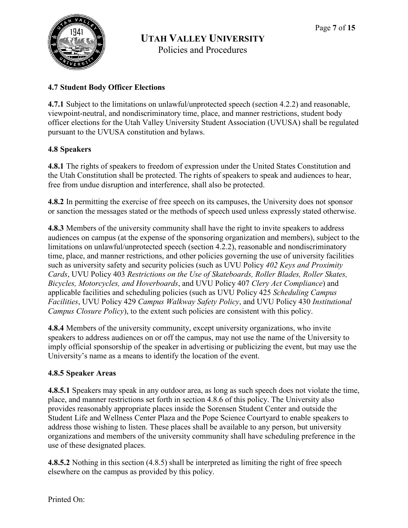

Policies and Procedures

# **4.7 Student Body Officer Elections**

**4.7.1** Subject to the limitations on unlawful/unprotected speech (section 4.2.2) and reasonable, viewpoint-neutral, and nondiscriminatory time, place, and manner restrictions, student body officer elections for the Utah Valley University Student Association (UVUSA) shall be regulated pursuant to the UVUSA constitution and bylaws.

# **4.8 Speakers**

**4.8.1** The rights of speakers to freedom of expression under the United States Constitution and the Utah Constitution shall be protected. The rights of speakers to speak and audiences to hear, free from undue disruption and interference, shall also be protected.

**4.8.2** In permitting the exercise of free speech on its campuses, the University does not sponsor or sanction the messages stated or the methods of speech used unless expressly stated otherwise.

**4.8.3** Members of the university community shall have the right to invite speakers to address audiences on campus (at the expense of the sponsoring organization and members), subject to the limitations on unlawful/unprotected speech (section 4.2.2), reasonable and nondiscriminatory time, place, and manner restrictions, and other policies governing the use of university facilities such as university safety and security policies (such as UVU Policy *402 Keys and Proximity Cards*, UVU Policy 403 *Restrictions on the Use of Skateboards, Roller Blades, Roller Skates, Bicycles, Motorcycles, and Hoverboards*, and UVU Policy 407 *Clery Act Compliance*) and applicable facilities and scheduling policies (such as UVU Policy 425 *Scheduling Campus Facilities*, UVU Policy 429 *Campus Walkway Safety Policy*, and UVU Policy 430 *Institutional Campus Closure Policy*), to the extent such policies are consistent with this policy.

**4.8.4** Members of the university community, except university organizations, who invite speakers to address audiences on or off the campus, may not use the name of the University to imply official sponsorship of the speaker in advertising or publicizing the event, but may use the University's name as a means to identify the location of the event.

# **4.8.5 Speaker Areas**

**4.8.5.1** Speakers may speak in any outdoor area, as long as such speech does not violate the time, place, and manner restrictions set forth in section 4.8.6 of this policy. The University also provides reasonably appropriate places inside the Sorensen Student Center and outside the Student Life and Wellness Center Plaza and the Pope Science Courtyard to enable speakers to address those wishing to listen. These places shall be available to any person, but university organizations and members of the university community shall have scheduling preference in the use of these designated places.

**4.8.5.2** Nothing in this section (4.8.5) shall be interpreted as limiting the right of free speech elsewhere on the campus as provided by this policy.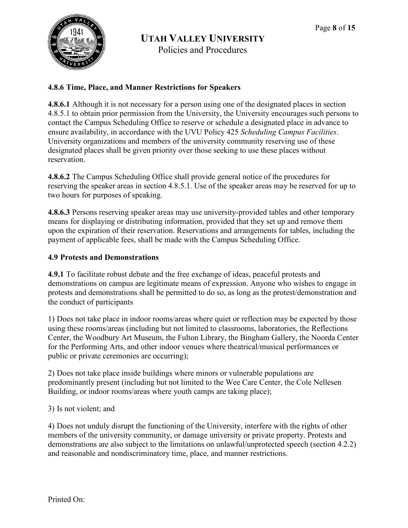

Policies and Procedures

# **4.8.6 Time, Place, and Manner Restrictions for Speakers**

**4.8.6.1** Although it is not necessary for a person using one of the designated places in section 4.8.5.1 to obtain prior permission from the University, the University encourages such persons to contact the Campus Scheduling Office to reserve or schedule a designated place in advance to ensure availability, in accordance with the UVU Policy 425 *Scheduling Campus Facilities*. University organizations and members of the university community reserving use of these designated places shall be given priority over those seeking to use these places without reservation.

**4.8.6.2** The Campus Scheduling Office shall provide general notice of the procedures for reserving the speaker areas in section 4.8.5.1. Use of the speaker areas may be reserved for up to two hours for purposes of speaking.

**4.8.6.3** Persons reserving speaker areas may use university-provided tables and other temporary means for displaying or distributing information, provided that they set up and remove them upon the expiration of their reservation. Reservations and arrangements for tables, including the payment of applicable fees, shall be made with the Campus Scheduling Office.

# **4.9 Protests and Demonstrations**

**4.9.1** To facilitate robust debate and the free exchange of ideas, peaceful protests and demonstrations on campus are legitimate means of expression. Anyone who wishes to engage in protests and demonstrations shall be permitted to do so, as long as the protest/demonstration and the conduct of participants

1) Does not take place in indoor rooms/areas where quiet or reflection may be expected by those using these rooms/areas (including but not limited to classrooms, laboratories, the Reflections Center, the Woodbury Art Museum, the Fulton Library, the Bingham Gallery, the Noorda Center for the Performing Arts, and other indoor venues where theatrical/musical performances or public or private ceremonies are occurring);

2) Does not take place inside buildings where minors or vulnerable populations are predominantly present (including but not limited to the Wee Care Center, the Cole Nellesen Building, or indoor rooms/areas where youth camps are taking place);

# 3) Is not violent; and

4) Does not unduly disrupt the functioning of the University, interfere with the rights of other members of the university community, or damage university or private property. Protests and demonstrations are also subject to the limitations on unlawful/unprotected speech (section 4.2.2) and reasonable and nondiscriminatory time, place, and manner restrictions.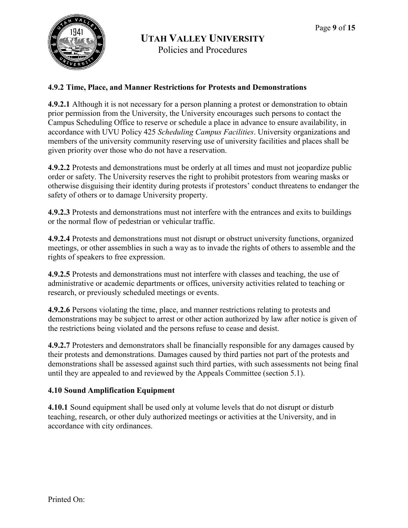

Policies and Procedures

#### **4.9.2 Time, Place, and Manner Restrictions for Protests and Demonstrations**

**4.9.2.1** Although it is not necessary for a person planning a protest or demonstration to obtain prior permission from the University, the University encourages such persons to contact the Campus Scheduling Office to reserve or schedule a place in advance to ensure availability, in accordance with UVU Policy 425 *Scheduling Campus Facilities*. University organizations and members of the university community reserving use of university facilities and places shall be given priority over those who do not have a reservation.

**4.9.2.2** Protests and demonstrations must be orderly at all times and must not jeopardize public order or safety. The University reserves the right to prohibit protestors from wearing masks or otherwise disguising their identity during protests if protestors' conduct threatens to endanger the safety of others or to damage University property.

**4.9.2.3** Protests and demonstrations must not interfere with the entrances and exits to buildings or the normal flow of pedestrian or vehicular traffic.

**4.9.2.4** Protests and demonstrations must not disrupt or obstruct university functions, organized meetings, or other assemblies in such a way as to invade the rights of others to assemble and the rights of speakers to free expression.

**4.9.2.5** Protests and demonstrations must not interfere with classes and teaching, the use of administrative or academic departments or offices, university activities related to teaching or research, or previously scheduled meetings or events.

**4.9.2.6** Persons violating the time, place, and manner restrictions relating to protests and demonstrations may be subject to arrest or other action authorized by law after notice is given of the restrictions being violated and the persons refuse to cease and desist.

**4.9.2.7** Protesters and demonstrators shall be financially responsible for any damages caused by their protests and demonstrations. Damages caused by third parties not part of the protests and demonstrations shall be assessed against such third parties, with such assessments not being final until they are appealed to and reviewed by the Appeals Committee (section 5.1).

# **4.10 Sound Amplification Equipment**

**4.10.1** Sound equipment shall be used only at volume levels that do not disrupt or disturb teaching, research, or other duly authorized meetings or activities at the University, and in accordance with city ordinances.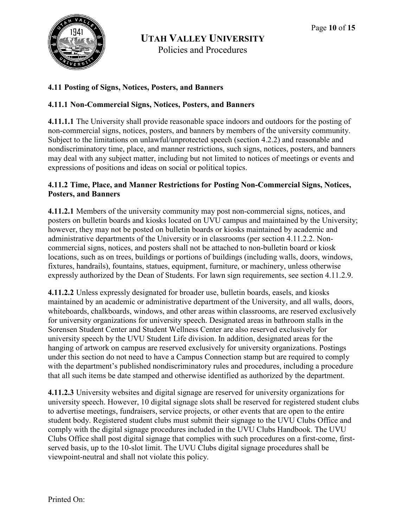

Policies and Procedures

# **4.11 Posting of Signs, Notices, Posters, and Banners**

#### **4.11.1 Non-Commercial Signs, Notices, Posters, and Banners**

**4.11.1.1** The University shall provide reasonable space indoors and outdoors for the posting of non-commercial signs, notices, posters, and banners by members of the university community. Subject to the limitations on unlawful/unprotected speech (section 4.2.2) and reasonable and nondiscriminatory time, place, and manner restrictions, such signs, notices, posters, and banners may deal with any subject matter, including but not limited to notices of meetings or events and expressions of positions and ideas on social or political topics.

#### **4.11.2 Time, Place, and Manner Restrictions for Posting Non-Commercial Signs, Notices, Posters, and Banners**

**4.11.2.1** Members of the university community may post non-commercial signs, notices, and posters on bulletin boards and kiosks located on UVU campus and maintained by the University; however, they may not be posted on bulletin boards or kiosks maintained by academic and administrative departments of the University or in classrooms (per section 4.11.2.2. Noncommercial signs, notices, and posters shall not be attached to non-bulletin board or kiosk locations, such as on trees, buildings or portions of buildings (including walls, doors, windows, fixtures, handrails), fountains, statues, equipment, furniture, or machinery, unless otherwise expressly authorized by the Dean of Students. For lawn sign requirements, see section 4.11.2.9.

**4.11.2.2** Unless expressly designated for broader use, bulletin boards, easels, and kiosks maintained by an academic or administrative department of the University, and all walls, doors, whiteboards, chalkboards, windows, and other areas within classrooms, are reserved exclusively for university organizations for university speech. Designated areas in bathroom stalls in the Sorensen Student Center and Student Wellness Center are also reserved exclusively for university speech by the UVU Student Life division. In addition, designated areas for the hanging of artwork on campus are reserved exclusively for university organizations. Postings under this section do not need to have a Campus Connection stamp but are required to comply with the department's published nondiscriminatory rules and procedures, including a procedure that all such items be date stamped and otherwise identified as authorized by the department.

**4.11.2.3** University websites and digital signage are reserved for university organizations for university speech. However, 10 digital signage slots shall be reserved for registered student clubs to advertise meetings, fundraisers, service projects, or other events that are open to the entire student body. Registered student clubs must submit their signage to the UVU Clubs Office and comply with the digital signage procedures included in the UVU Clubs Handbook. The UVU Clubs Office shall post digital signage that complies with such procedures on a first-come, firstserved basis, up to the 10-slot limit. The UVU Clubs digital signage procedures shall be viewpoint-neutral and shall not violate this policy.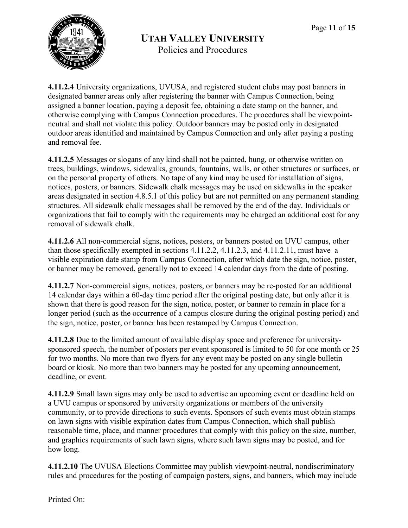

**4.11.2.4** University organizations, UVUSA, and registered student clubs may post banners in designated banner areas only after registering the banner with Campus Connection, being assigned a banner location, paying a deposit fee, obtaining a date stamp on the banner, and otherwise complying with Campus Connection procedures. The procedures shall be viewpointneutral and shall not violate this policy. Outdoor banners may be posted only in designated outdoor areas identified and maintained by Campus Connection and only after paying a posting and removal fee.

**4.11.2.5** Messages or slogans of any kind shall not be painted, hung, or otherwise written on trees, buildings, windows, sidewalks, grounds, fountains, walls, or other structures or surfaces, or on the personal property of others. No tape of any kind may be used for installation of signs, notices, posters, or banners. Sidewalk chalk messages may be used on sidewalks in the speaker areas designated in section 4.8.5.1 of this policy but are not permitted on any permanent standing structures. All sidewalk chalk messages shall be removed by the end of the day. Individuals or organizations that fail to comply with the requirements may be charged an additional cost for any removal of sidewalk chalk.

**4.11.2.6** All non-commercial signs, notices, posters, or banners posted on UVU campus, other than those specifically exempted in sections 4.11.2.2, 4.11.2.3, and 4.11.2.11, must have a visible expiration date stamp from Campus Connection, after which date the sign, notice, poster, or banner may be removed, generally not to exceed 14 calendar days from the date of posting.

**4.11.2.7** Non-commercial signs, notices, posters, or banners may be re-posted for an additional 14 calendar days within a 60-day time period after the original posting date, but only after it is shown that there is good reason for the sign, notice, poster, or banner to remain in place for a longer period (such as the occurrence of a campus closure during the original posting period) and the sign, notice, poster, or banner has been restamped by Campus Connection.

**4.11.2.8** Due to the limited amount of available display space and preference for universitysponsored speech, the number of posters per event sponsored is limited to 50 for one month or 25 for two months. No more than two flyers for any event may be posted on any single bulletin board or kiosk. No more than two banners may be posted for any upcoming announcement, deadline, or event.

**4.11.2.9** Small lawn signs may only be used to advertise an upcoming event or deadline held on a UVU campus or sponsored by university organizations or members of the university community, or to provide directions to such events. Sponsors of such events must obtain stamps on lawn signs with visible expiration dates from Campus Connection, which shall publish reasonable time, place, and manner procedures that comply with this policy on the size, number, and graphics requirements of such lawn signs, where such lawn signs may be posted, and for how long.

**4.11.2.10** The UVUSA Elections Committee may publish viewpoint-neutral, nondiscriminatory rules and procedures for the posting of campaign posters, signs, and banners, which may include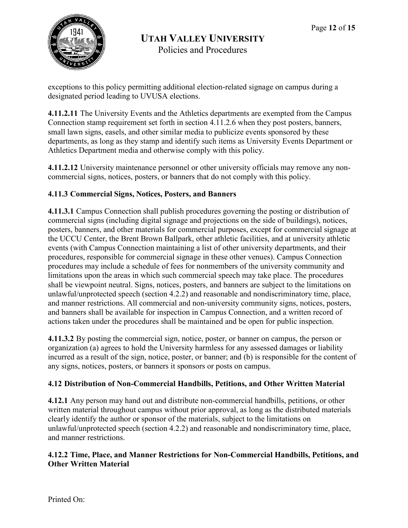

exceptions to this policy permitting additional election-related signage on campus during a designated period leading to UVUSA elections.

**4.11.2.11** The University Events and the Athletics departments are exempted from the Campus Connection stamp requirement set forth in section 4.11.2.6 when they post posters, banners, small lawn signs, easels, and other similar media to publicize events sponsored by these departments, as long as they stamp and identify such items as University Events Department or Athletics Department media and otherwise comply with this policy.

**4.11.2.12** University maintenance personnel or other university officials may remove any noncommercial signs, notices, posters, or banners that do not comply with this policy.

# **4.11.3 Commercial Signs, Notices, Posters, and Banners**

**4.11.3.1** Campus Connection shall publish procedures governing the posting or distribution of commercial signs (including digital signage and projections on the side of buildings), notices, posters, banners, and other materials for commercial purposes, except for commercial signage at the UCCU Center, the Brent Brown Ballpark, other athletic facilities, and at university athletic events (with Campus Connection maintaining a list of other university departments, and their procedures, responsible for commercial signage in these other venues). Campus Connection procedures may include a schedule of fees for nonmembers of the university community and limitations upon the areas in which such commercial speech may take place. The procedures shall be viewpoint neutral. Signs, notices, posters, and banners are subject to the limitations on unlawful/unprotected speech (section 4.2.2) and reasonable and nondiscriminatory time, place, and manner restrictions. All commercial and non-university community signs, notices, posters, and banners shall be available for inspection in Campus Connection, and a written record of actions taken under the procedures shall be maintained and be open for public inspection.

**4.11.3.2** By posting the commercial sign, notice, poster, or banner on campus, the person or organization (a) agrees to hold the University harmless for any assessed damages or liability incurred as a result of the sign, notice, poster, or banner; and (b) is responsible for the content of any signs, notices, posters, or banners it sponsors or posts on campus.

# **4.12 Distribution of Non-Commercial Handbills, Petitions, and Other Written Material**

**4.12.1** Any person may hand out and distribute non-commercial handbills, petitions, or other written material throughout campus without prior approval, as long as the distributed materials clearly identify the author or sponsor of the materials, subject to the limitations on unlawful/unprotected speech (section 4.2.2) and reasonable and nondiscriminatory time, place, and manner restrictions.

#### **4.12.2 Time, Place, and Manner Restrictions for Non-Commercial Handbills, Petitions, and Other Written Material**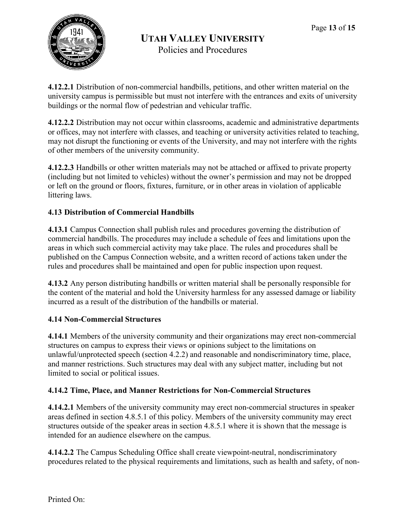

**4.12.2.1** Distribution of non-commercial handbills, petitions, and other written material on the university campus is permissible but must not interfere with the entrances and exits of university buildings or the normal flow of pedestrian and vehicular traffic.

**4.12.2.2** Distribution may not occur within classrooms, academic and administrative departments or offices, may not interfere with classes, and teaching or university activities related to teaching, may not disrupt the functioning or events of the University, and may not interfere with the rights of other members of the university community.

**4.12.2.3** Handbills or other written materials may not be attached or affixed to private property (including but not limited to vehicles) without the owner's permission and may not be dropped or left on the ground or floors, fixtures, furniture, or in other areas in violation of applicable littering laws.

# **4.13 Distribution of Commercial Handbills**

**4.13.1** Campus Connection shall publish rules and procedures governing the distribution of commercial handbills. The procedures may include a schedule of fees and limitations upon the areas in which such commercial activity may take place. The rules and procedures shall be published on the Campus Connection website, and a written record of actions taken under the rules and procedures shall be maintained and open for public inspection upon request.

**4.13.2** Any person distributing handbills or written material shall be personally responsible for the content of the material and hold the University harmless for any assessed damage or liability incurred as a result of the distribution of the handbills or material.

# **4.14 Non-Commercial Structures**

**4.14.1** Members of the university community and their organizations may erect non-commercial structures on campus to express their views or opinions subject to the limitations on unlawful/unprotected speech (section 4.2.2) and reasonable and nondiscriminatory time, place, and manner restrictions. Such structures may deal with any subject matter, including but not limited to social or political issues.

# **4.14.2 Time, Place, and Manner Restrictions for Non-Commercial Structures**

**4.14.2.1** Members of the university community may erect non-commercial structures in speaker areas defined in section 4.8.5.1 of this policy. Members of the university community may erect structures outside of the speaker areas in section 4.8.5.1 where it is shown that the message is intended for an audience elsewhere on the campus.

**4.14.2.2** The Campus Scheduling Office shall create viewpoint-neutral, nondiscriminatory procedures related to the physical requirements and limitations, such as health and safety, of non-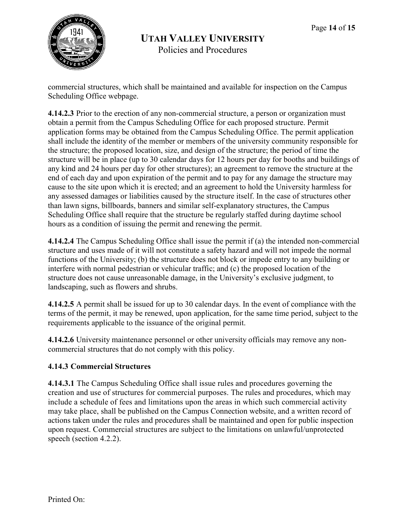

commercial structures, which shall be maintained and available for inspection on the Campus Scheduling Office webpage.

**4.14.2.3** Prior to the erection of any non-commercial structure, a person or organization must obtain a permit from the Campus Scheduling Office for each proposed structure. Permit application forms may be obtained from the Campus Scheduling Office. The permit application shall include the identity of the member or members of the university community responsible for the structure; the proposed location, size, and design of the structure; the period of time the structure will be in place (up to 30 calendar days for 12 hours per day for booths and buildings of any kind and 24 hours per day for other structures); an agreement to remove the structure at the end of each day and upon expiration of the permit and to pay for any damage the structure may cause to the site upon which it is erected; and an agreement to hold the University harmless for any assessed damages or liabilities caused by the structure itself. In the case of structures other than lawn signs, billboards, banners and similar self-explanatory structures, the Campus Scheduling Office shall require that the structure be regularly staffed during daytime school hours as a condition of issuing the permit and renewing the permit.

**4.14.2.4** The Campus Scheduling Office shall issue the permit if (a) the intended non-commercial structure and uses made of it will not constitute a safety hazard and will not impede the normal functions of the University; (b) the structure does not block or impede entry to any building or interfere with normal pedestrian or vehicular traffic; and (c) the proposed location of the structure does not cause unreasonable damage, in the University's exclusive judgment, to landscaping, such as flowers and shrubs.

**4.14.2.5** A permit shall be issued for up to 30 calendar days. In the event of compliance with the terms of the permit, it may be renewed, upon application, for the same time period, subject to the requirements applicable to the issuance of the original permit.

**4.14.2.6** University maintenance personnel or other university officials may remove any noncommercial structures that do not comply with this policy.

# **4.14.3 Commercial Structures**

**4.14.3.1** The Campus Scheduling Office shall issue rules and procedures governing the creation and use of structures for commercial purposes. The rules and procedures, which may include a schedule of fees and limitations upon the areas in which such commercial activity may take place, shall be published on the Campus Connection website, and a written record of actions taken under the rules and procedures shall be maintained and open for public inspection upon request. Commercial structures are subject to the limitations on unlawful/unprotected speech (section 4.2.2).